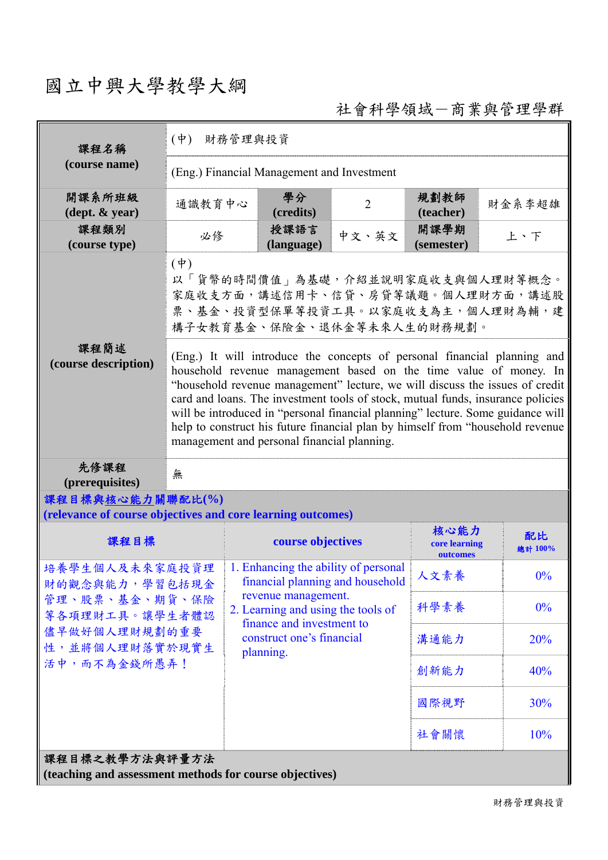## 國立中興大學教學大綱

社會科學領域-商業與管理學群

| 課程名稱                                                                                                                    | $(\dot{\Psi})$<br>財務管理與投資                                                                                                                                                                                                                                                                                                                                                                                                                                                                                                            |                                                                                                                                                                    |                |                                   |               |  |
|-------------------------------------------------------------------------------------------------------------------------|--------------------------------------------------------------------------------------------------------------------------------------------------------------------------------------------------------------------------------------------------------------------------------------------------------------------------------------------------------------------------------------------------------------------------------------------------------------------------------------------------------------------------------------|--------------------------------------------------------------------------------------------------------------------------------------------------------------------|----------------|-----------------------------------|---------------|--|
| (course name)                                                                                                           | (Eng.) Financial Management and Investment                                                                                                                                                                                                                                                                                                                                                                                                                                                                                           |                                                                                                                                                                    |                |                                   |               |  |
| 開課系所班級<br>$(\text{dept.} \& \text{ year})$                                                                              | 通識教育中心                                                                                                                                                                                                                                                                                                                                                                                                                                                                                                                               | 學分<br>(credits)                                                                                                                                                    | $\overline{2}$ | 規劃教師<br>(teacher)                 | 財金系李超雄        |  |
| 課程類別<br>(course type)                                                                                                   | 必修                                                                                                                                                                                                                                                                                                                                                                                                                                                                                                                                   | 授課語言<br>(language)                                                                                                                                                 | 中文、英文          | 開課學期<br>(semester)                | 上、下           |  |
|                                                                                                                         | $(\dagger)$<br>以「貨幣的時間價值」為基礎,介紹並說明家庭收支與個人理財等概念。<br>家庭收支方面,講述信用卡、信貸、房貸等議題。個人理財方面,講述股<br>票、基金、投資型保單等投資工具。以家庭收支為主,個人理財為輔,建<br>構子女教育基金、保險金、退休金等未來人生的財務規劃。                                                                                                                                                                                                                                                                                                                                                                                |                                                                                                                                                                    |                |                                   |               |  |
| 課程簡述<br>(course description)                                                                                            | (Eng.) It will introduce the concepts of personal financial planning and<br>household revenue management based on the time value of money. In<br>"household revenue management" lecture, we will discuss the issues of credit<br>card and loans. The investment tools of stock, mutual funds, insurance policies<br>will be introduced in "personal financial planning" lecture. Some guidance will<br>help to construct his future financial plan by himself from "household revenue<br>management and personal financial planning. |                                                                                                                                                                    |                |                                   |               |  |
| 先修課程<br>(prerequisites)                                                                                                 | 無                                                                                                                                                                                                                                                                                                                                                                                                                                                                                                                                    |                                                                                                                                                                    |                |                                   |               |  |
| 課程目標與核心能力關聯配比(%)<br>(relevance of course objectives and core learning outcomes)                                         |                                                                                                                                                                                                                                                                                                                                                                                                                                                                                                                                      |                                                                                                                                                                    |                |                                   |               |  |
| 課程目標                                                                                                                    |                                                                                                                                                                                                                                                                                                                                                                                                                                                                                                                                      | course objectives                                                                                                                                                  |                | 核心能力<br>core learning<br>outcomes | 配比<br>總計 100% |  |
| 培養學生個人及未來家庭投資理<br>財的觀念與能力,學習包括現金<br>管理、股票、基金、期貨、保險<br>等各項理財工具。讓學生者體認<br>儘早做好個人理財規劃的重要<br>性,並將個人理財落實於現實生<br>活中,而不為金錢所愚弄! |                                                                                                                                                                                                                                                                                                                                                                                                                                                                                                                                      | 1. Enhancing the ability of personal<br>financial planning and household<br>revenue management.<br>2. Learning and using the tools of<br>finance and investment to | 人文素養           | $0\%$                             |               |  |
|                                                                                                                         |                                                                                                                                                                                                                                                                                                                                                                                                                                                                                                                                      |                                                                                                                                                                    | 科學素養           | $0\%$                             |               |  |
|                                                                                                                         |                                                                                                                                                                                                                                                                                                                                                                                                                                                                                                                                      | construct one's financial<br>planning.                                                                                                                             |                | 溝通能力                              | 20%           |  |
|                                                                                                                         |                                                                                                                                                                                                                                                                                                                                                                                                                                                                                                                                      |                                                                                                                                                                    | 創新能力           | 40%                               |               |  |
|                                                                                                                         |                                                                                                                                                                                                                                                                                                                                                                                                                                                                                                                                      |                                                                                                                                                                    |                | 國際視野                              | 30%           |  |
|                                                                                                                         |                                                                                                                                                                                                                                                                                                                                                                                                                                                                                                                                      |                                                                                                                                                                    |                | 社會關懷                              | 10%           |  |
| 課程目標之教學方法與評量方法<br>(teaching and assessment methods for course objectives)                                               |                                                                                                                                                                                                                                                                                                                                                                                                                                                                                                                                      |                                                                                                                                                                    |                |                                   |               |  |